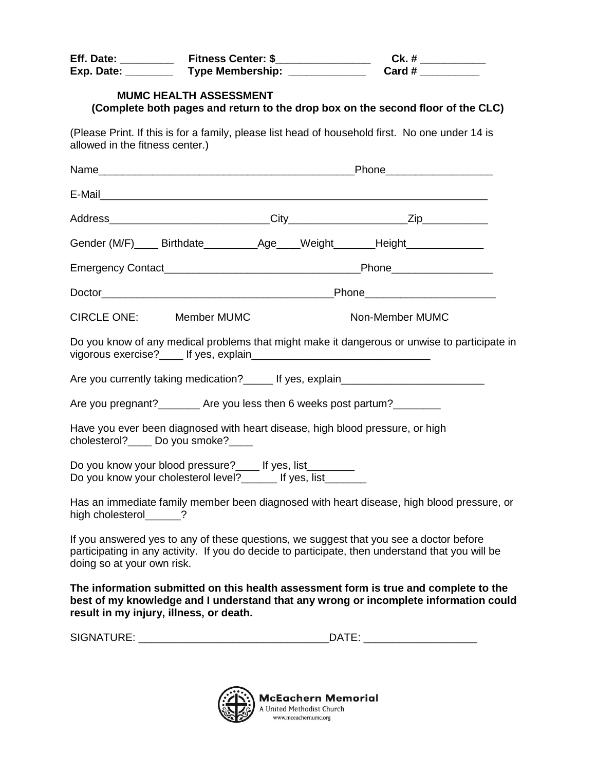| Eff. Date: _________                                                                                                  | Fitness Center: \$________________ |  |  | Ck. # $\qquad$<br>Card #                                                                                                                                                                   |  |
|-----------------------------------------------------------------------------------------------------------------------|------------------------------------|--|--|--------------------------------------------------------------------------------------------------------------------------------------------------------------------------------------------|--|
|                                                                                                                       | <b>MUMC HEALTH ASSESSMENT</b>      |  |  | (Complete both pages and return to the drop box on the second floor of the CLC)                                                                                                            |  |
| allowed in the fitness center.)                                                                                       |                                    |  |  | (Please Print. If this is for a family, please list head of household first. No one under 14 is                                                                                            |  |
|                                                                                                                       |                                    |  |  |                                                                                                                                                                                            |  |
|                                                                                                                       |                                    |  |  |                                                                                                                                                                                            |  |
|                                                                                                                       |                                    |  |  |                                                                                                                                                                                            |  |
|                                                                                                                       |                                    |  |  | Gender (M/F)_____ Birthdate_____________Age____Weight________Height_____________                                                                                                           |  |
|                                                                                                                       |                                    |  |  |                                                                                                                                                                                            |  |
|                                                                                                                       |                                    |  |  |                                                                                                                                                                                            |  |
| CIRCLE ONE: Member MUMC                                                                                               |                                    |  |  | Non-Member MUMC                                                                                                                                                                            |  |
|                                                                                                                       |                                    |  |  | Do you know of any medical problems that might make it dangerous or unwise to participate in                                                                                               |  |
|                                                                                                                       |                                    |  |  | Are you currently taking medication? ______ If yes, explain_____________________                                                                                                           |  |
|                                                                                                                       |                                    |  |  | Are you pregnant?_________ Are you less then 6 weeks post partum?_________                                                                                                                 |  |
| cholesterol?_____ Do you smoke?____                                                                                   |                                    |  |  | Have you ever been diagnosed with heart disease, high blood pressure, or high                                                                                                              |  |
| Do you know your blood pressure? Fig. 15 yes, list<br>Do you know your cholesterol level? _______ If yes, list_______ |                                    |  |  |                                                                                                                                                                                            |  |
| high cholesterol ?                                                                                                    |                                    |  |  | Has an immediate family member been diagnosed with heart disease, high blood pressure, or                                                                                                  |  |
| doing so at your own risk.                                                                                            |                                    |  |  | If you answered yes to any of these questions, we suggest that you see a doctor before<br>participating in any activity. If you do decide to participate, then understand that you will be |  |
| result in my injury, illness, or death.                                                                               |                                    |  |  | The information submitted on this health assessment form is true and complete to the<br>best of my knowledge and I understand that any wrong or incomplete information could               |  |
|                                                                                                                       |                                    |  |  |                                                                                                                                                                                            |  |